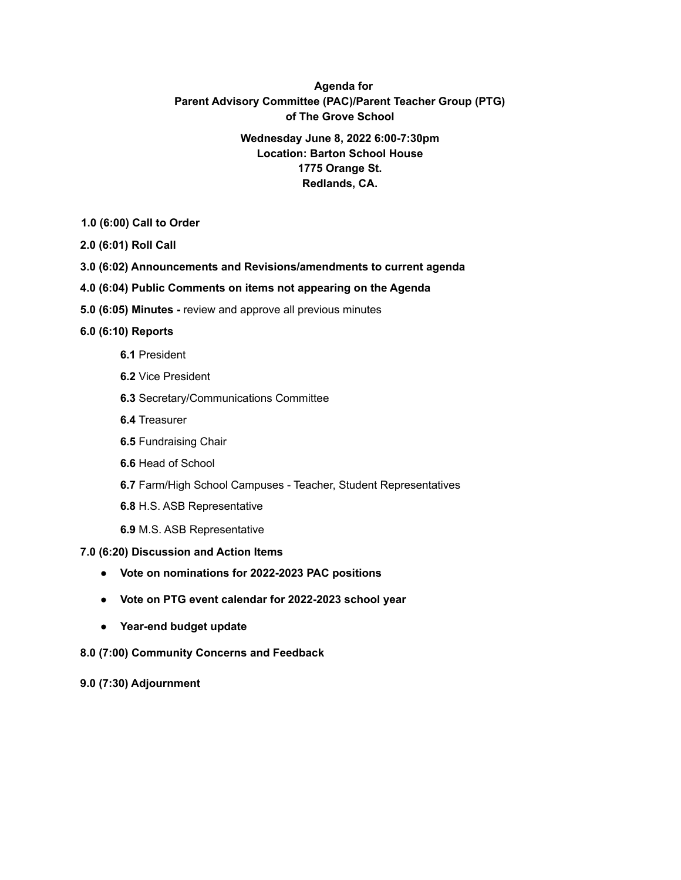# **Agenda for Parent Advisory Committee (PAC)/Parent Teacher Group (PTG) of The Grove School**

## **Wednesday June 8, 2022 6:00-7:30pm Location: Barton School House 1775 Orange St. Redlands, CA.**

- **1.0 (6:00) Call to Order**
- **2.0 (6:01) Roll Call**
- **3.0 (6:02) Announcements and Revisions/amendments to current agenda**
- **4.0 (6:04) Public Comments on items not appearing on the Agenda**
- **5.0 (6:05) Minutes -** review and approve all previous minutes

## **6.0 (6:10) Reports**

- **6.1** President
- **6.2** Vice President
- **6.3** Secretary/Communications Committee
- **6.4** Treasurer
- **6.5** Fundraising Chair
- **6.6** Head of School
- **6.7** Farm/High School Campuses Teacher, Student Representatives
- **6.8** H.S. ASB Representative
- **6.9** M.S. ASB Representative

### **7.0 (6:20) Discussion and Action Items**

- **● Vote on nominations for 2022-2023 PAC positions**
- **● Vote on PTG event calendar for 2022-2023 school year**
- **● Year-end budget update**
- **8.0 (7:00) Community Concerns and Feedback**

### **9.0 (7:30) Adjournment**